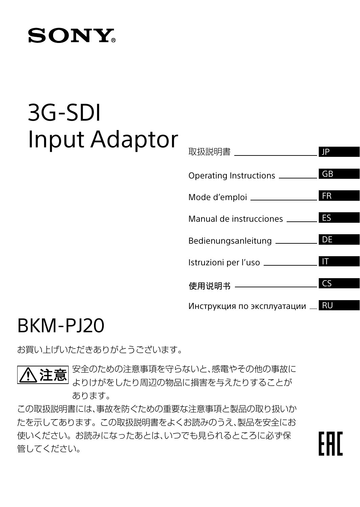# **SONY**

# 3G-SDI Input Adaptor

| 取扱説明書 ____________________          | IP             |
|-------------------------------------|----------------|
|                                     | <b>GB</b>      |
|                                     | <b>FR</b>      |
| Manual de instrucciones ________    |                |
| Bedienungsanleitung ____________ DE |                |
|                                     |                |
| 使用说明书 ——————————                    | C <sub>S</sub> |
| Инструкция по эксплуатации _ RU     |                |

FAL

# BKM-PJ20

お買い上げいただきありがとうございます。

めの注意事項を守らないと、感電やその他の事故に 注意 よりけがをしたり周辺の物品に損害を与えたりすることが あります。

この取扱説明書には、事故を防ぐための重要な注意事項と製品の取り扱いか たを示してあります。この取扱説明書をよくお読みのうえ、製品を安全にお 使いください。お読みになったあとは、いつでも見られるところに必ず保 管してください。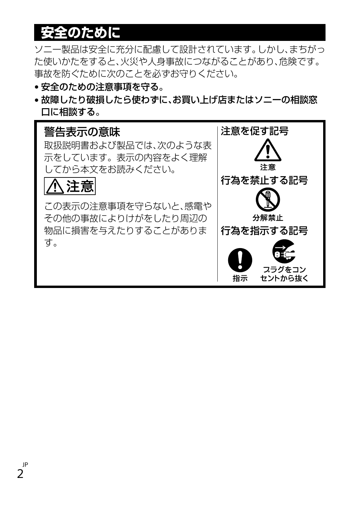# **安全のために**

ソニー製品は安全に充分に配慮して設計されています。しかし、まちがっ た使いかたをすると、火災や人身事故につながることがあり、危険です。 事故を防ぐために次のことを必ずお守りください。

#### • 安全のための注意事項を守る。

• 故障したり破損したら使わずに、お買い上げ店またはソニーの相談窓 口に相談する。

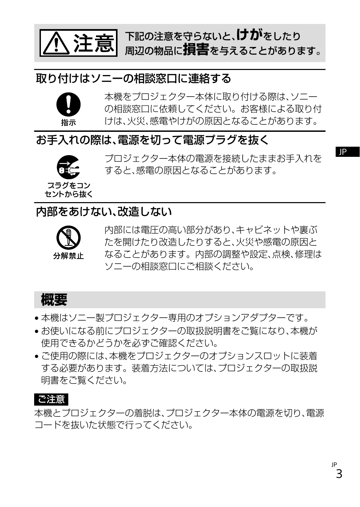

下記の注意を守らないと、**けが**をしたり 周辺の物品に**損害**を与えることがあります。

#### 取り付けはソニーの相談窓口に連絡する



本機をプロジェクター本体に取り付ける際は、ソニー の相談窓口に依頼してください。お客様による取り付 けは、火災、感電やけがの原因となることがあります。

### お手入れの際は、電源を切って電源プラグを抜く



プロジェクター本体の電源を接続したままお手入れを すると、感電の原因となることがあります。

# 内部をあけない、改造しない



内部には電圧の高い部分があり、キャビネットや裏ぶ たを開けたり改造したりすると、火災や感電の原因と なることがあります。内部の調整や設定、点検、修理は ソニーの相談窓口にご相談ください。



- 本機はソニー製プロジェクター専用のオプションアダプターです。
- お使いになる前にプロジェクターの取扱説明書をご覧になり、本機が 使用できるかどうかを必ずご確認ください。
- ご使用の際には、本機をプロジェクターのオプションスロットに装着 する必要があります。装着方法については、プロジェクターの取扱説 明書をご覧ください。

#### ご注意

本機とプロジェクターの着脱は、プロジェクター本体の電源を切り、電源 コードを抜いた状態で行ってください。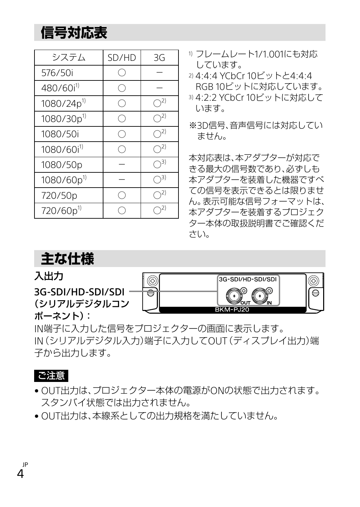# **信号対応表**

| システム                   | SD/HD | 3G              |
|------------------------|-------|-----------------|
| 576/50i                |       |                 |
| 480/60i <sup>1)</sup>  |       |                 |
| 1080/24p <sup>1)</sup> |       | <sub>1</sub> 2) |
| 1080/30p <sup>1)</sup> |       | <sub>1</sub> 2) |
| 1080/50i               |       | <sub>1</sub> 2) |
| $1080/60i^{1}$         |       | ۱2,             |
| 1080/50p               |       | 73)             |
| $1080/60p^{1}$         |       | -3)             |
| 720/50p                |       | \2)             |
| 720/60p <sup>1)</sup>  |       | 2)              |

- 1) フレームレート1/1.001にも対応 しています。
- 2) 4:4:4 YCbCr 10ビットと4:4:4 RGB 10ビットに対応しています。
- 3) 4:2:2 YCbCr 10ビットに対応して います。
- ※ 3D信号、音声信号には対応してい ません。

本対応表は、本アダプターが対応で きる最大の信号数であり、必ずしも 本アダプターを装着した機器ですべ ての信号を表示できるとは限りませ ん。表示可能な信号フォーマットは、 本アダプターを装着するプロジェク ター本体の取扱説明書でご確認くだ さい。

# **主な仕様**

入出力

3G-SDI/HD-SDI/SDI (シリアルデジタルコン ポーネント):



IN端子に入力した信号をプロジェクターの画面に表示します。 IN(シリアルデジタル入力)端子に入力してOUT(ディスプレイ出力)端 子から出力します。

#### ご注意

4 JP

- OUT出力は、プロジェクター本体の電源がONの状態で出力されます。 スタンバイ状態では出力されません。
- OUT出力は、本線系としての出力規格を満たしていません。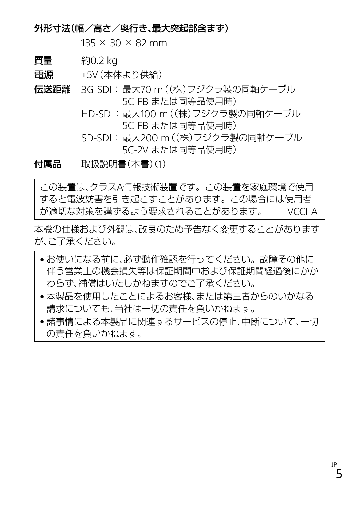外形寸法(幅/高さ/奥行き、最大突起部含まず)

 $135 \times 30 \times 82$  mm

質量 約0.2 kg

電源 +5V(本体より供給)

伝送距離 3G-SDI: 最大70 m((株)フジクラ製の同軸ケーブル 5C-FB または同等品使用時)

- HD-SDI:最大100 m((株)フジクラ製の同軸ケーブル 5C-FB または同等品使用時)
- SD-SDI: 最大200 m((株)フジクラ製の同軸ケーブル 5C-2V または同等品使用時)

付属品 取扱説明書(本書)(1)

この装置は、クラスA情報技術装置です。この装置を家庭環境で使用 すると電波妨害を引き起こすことがあります。この場合には使用者 が適切な対策を講ずるよう要求されることがあります。 VCCI-A

本機の仕様および外観は、改良のため予告なく変更することがあります が、ご了承ください。

- お使いになる前に、必ず動作確認を行ってください。故障その他に 伴う営業上の機会損失等は保証期間中および保証期間経過後にかか わらず、補償はいたしかねますのでご了承ください。
- 本製品を使用したことによるお客様、または第三者からのいかなる 請求についても、当社は一切の責任を負いかねます。
- ●諸事情による本製品に関連するサービスの停止、中断について、一切 の責任を負いかねます。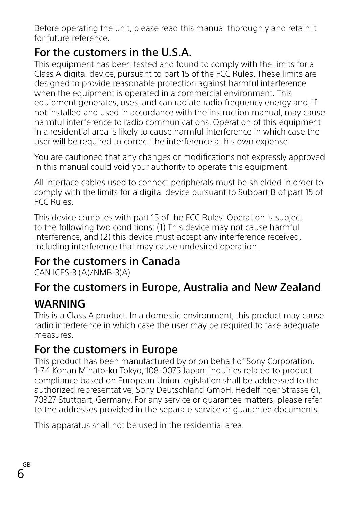Before operating the unit, please read this manual thoroughly and retain it for future reference.

# For the customers in the U.S.A.

This equipment has been tested and found to comply with the limits for a Class A digital device, pursuant to part 15 of the FCC Rules. These limits are designed to provide reasonable protection against harmful interference when the equipment is operated in a commercial environment. This equipment generates, uses, and can radiate radio frequency energy and, if not installed and used in accordance with the instruction manual, may cause harmful interference to radio communications. Operation of this equipment in a residential area is likely to cause harmful interference in which case the user will be required to correct the interference at his own expense.

You are cautioned that any changes or modifications not expressly approved in this manual could void your authority to operate this equipment.

All interface cables used to connect peripherals must be shielded in order to comply with the limits for a digital device pursuant to Subpart B of part 15 of FCC Rules.

This device complies with part 15 of the FCC Rules. Operation is subject to the following two conditions: (1) This device may not cause harmful interference, and (2) this device must accept any interference received, including interference that may cause undesired operation.

# For the customers in Canada

CAN ICES-3 (A)/NMB-3(A)

### For the customers in Europe, Australia and New Zealand WARNING

This is a Class A product. In a domestic environment, this product may cause radio interference in which case the user may be required to take adequate measures.

# For the customers in Europe

This product has been manufactured by or on behalf of Sony Corporation, 1-7-1 Konan Minato-ku Tokyo, 108-0075 Japan. Inquiries related to product compliance based on European Union legislation shall be addressed to the authorized representative, Sony Deutschland GmbH, Hedelfinger Strasse 61, 70327 Stuttgart, Germany. For any service or guarantee matters, please refer to the addresses provided in the separate service or guarantee documents.

This apparatus shall not be used in the residential area.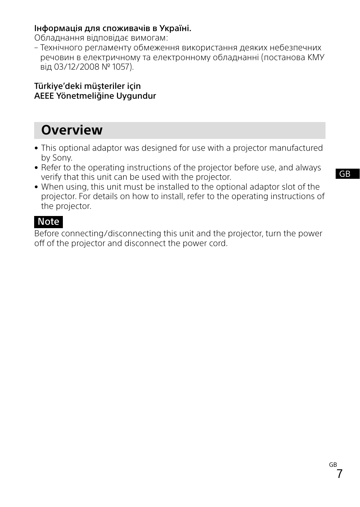#### Інформація для споживачів в Україні.

Обладнання відповідає вимогам:

– Технічного регламенту обмеження використання деяких небезпечних речовин в електричному та електронному обладнанні (постанова КМУ від 03/12/2008 № 1057).

#### Türkiye'deki müşteriler için AEEE Yönetmeliğine Uygundur

# **Overview**

- This optional adaptor was designed for use with a projector manufactured by Sony.
- Refer to the operating instructions of the projector before use, and always verify that this unit can be used with the projector.
- When using, this unit must be installed to the optional adaptor slot of the projector. For details on how to install, refer to the operating instructions of the projector.

#### **Note**

Before connecting/disconnecting this unit and the projector, turn the power off of the projector and disconnect the power cord.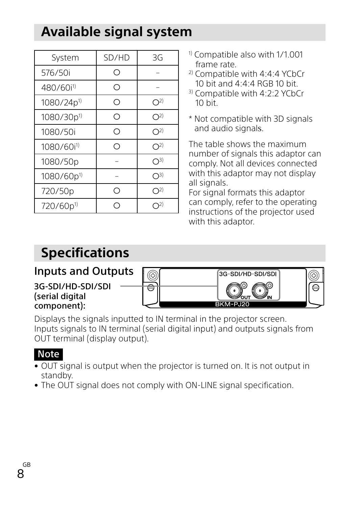# **Available signal system**

| System                 | SD/HD | 3G                        |
|------------------------|-------|---------------------------|
| 576/50i                | Ο     |                           |
| 480/60i <sup>1)</sup>  | ∩     |                           |
| 1080/24p <sup>1)</sup> | О     | O <sup>2</sup>            |
| 1080/30p <sup>1)</sup> | ∩     | O <sup>2</sup>            |
| 1080/50i               | ∩     | O <sup>2</sup>            |
| 1080/60i <sup>1)</sup> | ∩     | O <sup>2</sup>            |
| 1080/50p               |       | $\bigcirc$ <sub>3</sub> ) |
| 1080/60p <sup>1)</sup> |       | $\bigcirc$ <sub>3</sub> ) |
| 720/50p                | ∩     | $\bigcap^{2)}$            |
| 720/60p <sup>1)</sup>  |       | n2)                       |

- $<sup>1)</sup>$  Compatible also with 1/1.001</sup> frame rate.
- 2) Compatible with 4:4:4 YCbCr 10 bit and 4:4:4 RGB 10 bit.
- 3) Compatible with 4:2:2 YCbCr  $10$  bit.
- \* Not compatible with 3D signals and audio signals.

The table shows the maximum number of signals this adaptor can comply. Not all devices connected with this adaptor may not display all signals.

For signal formats this adaptor can comply, refer to the operating instructions of the projector used with this adaptor.

# **Specifications**

| Inputs and Outputs                                  |   | 3G-SDI/HD-SDI/SDI | ◉  |
|-----------------------------------------------------|---|-------------------|----|
| 3G-SDI/HD-SDI/SDI<br>(serial digital<br>component): | U | <b>BKM-PJ20</b>   | '⊖ |

Displays the signals inputted to IN terminal in the projector screen. Inputs signals to IN terminal (serial digital input) and outputs signals from OUT terminal (display output).

### Note

- OUT signal is output when the projector is turned on. It is not output in standby.
- The OUT signal does not comply with ON-LINE signal specification.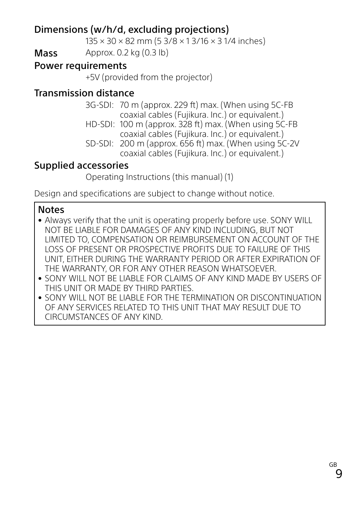### Dimensions (w/h/d, excluding projections)

135 × 30 × 82 mm (5 3/8 × 1 3/16 × 3 1/4 inches)

Mass Approx. 0.2 kg (0.3 lb)

#### Power requirements

+5V (provided from the projector)

#### Transmission distance

- 3G-SDI: 70 m (approx. 229 ft) max. (When using 5C-FB coaxial cables (Fujikura. Inc.) or equivalent.)
- HD-SDI: 100 m (approx. 328 ft) max. (When using 5C-FB coaxial cables (Fujikura. Inc.) or equivalent.)
- SD-SDI: 200 m (approx. 656 ft) max. (When using 5C-2V coaxial cables (Fujikura. Inc.) or equivalent.)

#### Supplied accessories

Operating Instructions (this manual) (1)

Design and specifications are subject to change without notice.

#### **Notes**

- Always verify that the unit is operating properly before use. SONY WILL NOT BE LIABLE FOR DAMAGES OF ANY KIND INCLUDING, BUT NOT LIMITED TO, COMPENSATION OR REIMBURSEMENT ON ACCOUNT OF THE LOSS OF PRESENT OR PROSPECTIVE PROFITS DUE TO FAILURE OF THIS UNIT, EITHER DURING THE WARRANTY PERIOD OR AFTER EXPIRATION OF THE WARRANTY, OR FOR ANY OTHER REASON WHATSOEVER.
- SONY WILL NOT BE LIABLE FOR CLAIMS OF ANY KIND MADE BY USERS OF THIS UNIT OR MADE BY THIRD PARTIES.
- SONY WILL NOT BE LIABLE FOR THE TERMINATION OR DISCONTINUATION OF ANY SERVICES RELATED TO THIS UNIT THAT MAY RESULT DUE TO CIRCUMSTANCES OF ANY KIND.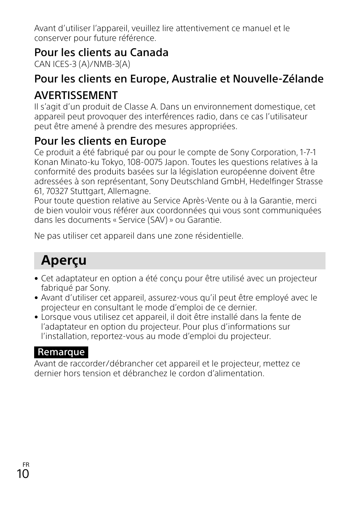Avant d'utiliser l'appareil, veuillez lire attentivement ce manuel et le conserver pour future référence.

### Pour les clients au Canada

CAN ICES-3 (A)/NMB-3(A)

# Pour les clients en Europe, Australie et Nouvelle-Zélande

# AVERTISSEMENT

Il s'agit d'un produit de Classe A. Dans un environnement domestique, cet appareil peut provoquer des interférences radio, dans ce cas l'utilisateur peut être amené à prendre des mesures appropriées.

# Pour les clients en Europe

Ce produit a été fabriqué par ou pour le compte de Sony Corporation, 1-7-1 Konan Minato-ku Tokyo, 108-0075 Japon. Toutes les questions relatives à la conformité des produits basées sur la législation européenne doivent être adressées à son représentant, Sony Deutschland GmbH, Hedelfinger Strasse 61, 70327 Stuttgart, Allemagne.

Pour toute question relative au Service Après-Vente ou à la Garantie, merci de bien vouloir vous référer aux coordonnées qui vous sont communiquées dans les documents « Service (SAV) » ou Garantie.

Ne pas utiliser cet appareil dans une zone résidentielle.

# **Aperçu**

- Cet adaptateur en option a été conçu pour être utilisé avec un projecteur fabriqué par Sony.
- Avant d'utiliser cet appareil, assurez-vous qu'il peut être employé avec le projecteur en consultant le mode d'emploi de ce dernier.
- Lorsque vous utilisez cet appareil, il doit être installé dans la fente de l'adaptateur en option du projecteur. Pour plus d'informations sur l'installation, reportez-vous au mode d'emploi du projecteur.

### Remarque

Avant de raccorder/débrancher cet appareil et le projecteur, mettez ce dernier hors tension et débranchez le cordon d'alimentation.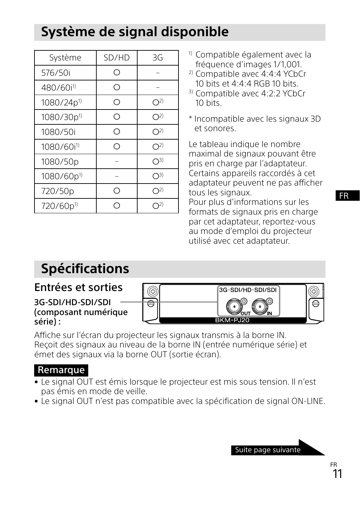# **Système de signal disponible**

| Système                | SD/HD | 3G                        |
|------------------------|-------|---------------------------|
| 576/50i                | ∩     |                           |
| 480/60i <sup>1)</sup>  | Ο     |                           |
| 1080/24p <sup>1)</sup> | ∩     | O <sup>2</sup>            |
| 1080/30p <sup>1)</sup> | ∩     | O <sup>2</sup>            |
| 1080/50i               | ∩     | O <sup>2</sup>            |
| 1080/60i <sup>1)</sup> | ∩     | O <sup>2</sup>            |
| 1080/50p               |       | $\bigcirc$ <sub>3</sub> ) |
| 1080/60p <sup>1)</sup> |       | $\bigcirc$ <sub>3</sub> ) |
| 720/50p                | ∩     | $\bigcap^{2}$             |
| 720/60p <sup>1)</sup>  |       | 72                        |

- <sup>1)</sup> Compatible également avec la fréquence d'images 1/1,001.
- 2) Compatible avec 4:4:4 YCbCr 10 bits et 4:4:4 RGB 10 bits.
- 3) Compatible avec 4:2:2 YCbCr  $10 \text{ hits}$
- \* Incompatible avec les signaux 3D et sonores.

Le tableau indique le nombre maximal de signaux pouvant être pris en charge par l'adaptateur. Certains appareils raccordés à cet adaptateur peuvent ne pas afficher tous les signaux.

Pour plus d'informations sur les formats de signaux pris en charge par cet adaptateur, reportez-vous au mode d'emploi du projecteur utilisé avec cet adaptateur.

# **Spécifications**

#### Entrées et sorties

3G-SDI/HD-SDI/SDI (composant numérique série) :

 $^{\circledR}$ 3G-SDI/HD-SDI/SDI

Affiche sur l'écran du projecteur les signaux transmis à la borne IN. Reçoit des signaux au niveau de la borne IN (entrée numérique série) et émet des signaux via la borne OUT (sortie écran).

#### Remarque

- Le signal OUT est émis lorsque le projecteur est mis sous tension. Il n'est pas émis en mode de veille.
- Le signal OUT n'est pas compatible avec la spécification de signal ON-LINE.

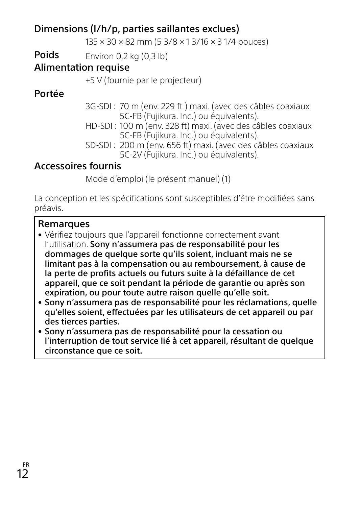### Dimensions (l/h/p, parties saillantes exclues)

135 × 30 × 82 mm (5 3/8 × 1 3/16 × 3 1/4 pouces)

**Poids** Environ 0,2 kg (0,3 lb)

#### Alimentation requise

+5 V (fournie par le projecteur)

#### Portée

- 3G-SDI : 70 m (env. 229 ft ) maxi. (avec des câbles coaxiaux 5C-FB (Fujikura. Inc.) ou équivalents).
- HD-SDI : 100 m (env. 328 ft) maxi. (avec des câbles coaxiaux 5C-FB (Fujikura. Inc.) ou équivalents).
- SD-SDI : 200 m (env. 656 ft) maxi. (avec des câbles coaxiaux 5C-2V (Fujikura. Inc.) ou équivalents).

### Accessoires fournis

```
Mode d'emploi (le présent manuel) (1)
```
La conception et les spécifications sont susceptibles d'être modifiées sans préavis.

#### **Remarques**

- Vérifiez toujours que l'appareil fonctionne correctement avant l'utilisation. Sony n'assumera pas de responsabilité pour les dommages de quelque sorte qu'ils soient, incluant mais ne se limitant pas à la compensation ou au remboursement, à cause de la perte de profits actuels ou futurs suite à la défaillance de cet appareil, que ce soit pendant la période de garantie ou après son expiration, ou pour toute autre raison quelle qu'elle soit.
- Sony n'assumera pas de responsabilité pour les réclamations, quelle qu'elles soient, effectuées par les utilisateurs de cet appareil ou par des tierces parties.
- Sony n'assumera pas de responsabilité pour la cessation ou l'interruption de tout service lié à cet appareil, résultant de quelque circonstance que ce soit.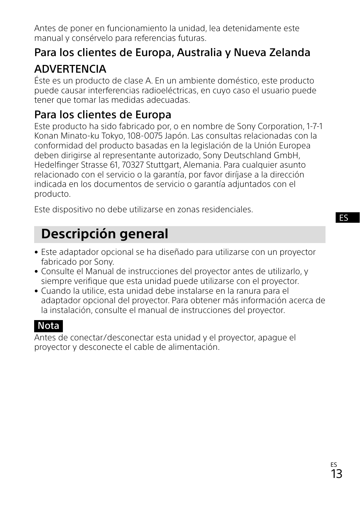Antes de poner en funcionamiento la unidad, lea detenidamente este manual y consérvelo para referencias futuras.

# Para los clientes de Europa, Australia y Nueva Zelanda ADVERTENCIA

Éste es un producto de clase A. En un ambiente doméstico, este producto puede causar interferencias radioeléctricas, en cuyo caso el usuario puede tener que tomar las medidas adecuadas.

# Para los clientes de Europa

Este producto ha sido fabricado por, o en nombre de Sony Corporation, 1-7-1 Konan Minato-ku Tokyo, 108-0075 Japón. Las consultas relacionadas con la conformidad del producto basadas en la legislación de la Unión Europea deben dirigirse al representante autorizado, Sony Deutschland GmbH, Hedelfinger Strasse 61, 70327 Stuttgart, Alemania. Para cualquier asunto relacionado con el servicio o la garantía, por favor diríjase a la dirección indicada en los documentos de servicio o garantía adjuntados con el producto.

Este dispositivo no debe utilizarse en zonas residenciales.

# **Descripción general**

- Este adaptador opcional se ha diseñado para utilizarse con un proyector fabricado por Sony.
- Consulte el Manual de instrucciones del proyector antes de utilizarlo, y siempre verifique que esta unidad puede utilizarse con el proyector.
- Cuando la utilice, esta unidad debe instalarse en la ranura para el adaptador opcional del proyector. Para obtener más información acerca de la instalación, consulte el manual de instrucciones del proyector.

### Nota

Antes de conectar/desconectar esta unidad y el proyector, apague el proyector y desconecte el cable de alimentación.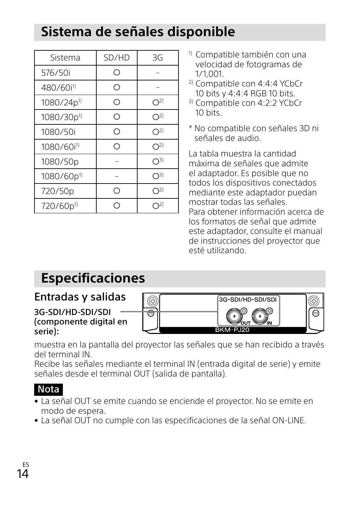# **Sistema de señales disponible**

| Sistema                | SD/HD | 3G                        |
|------------------------|-------|---------------------------|
| 576/50i                | ∩     |                           |
| 480/60i <sup>1)</sup>  | ∩     |                           |
| 1080/24p <sup>1)</sup> | О     | O <sup>2</sup>            |
| 1080/30p <sup>1)</sup> | ∩     | O <sup>2</sup>            |
| 1080/50i               | ∩     | O <sup>2</sup>            |
| 1080/60i <sup>1)</sup> | ∩     | O <sup>2</sup>            |
| 1080/50p               |       | $\bigcirc$ 3)             |
| 1080/60p <sup>1)</sup> |       | $\bigcirc$ <sub>3</sub> ) |
| 720/50p                | ∩     | $\bigcap^{2)}$            |
| 720/60p <sup>1)</sup>  |       |                           |

- <sup>1)</sup> Compatible también con una velocidad de fotogramas de 1/1,001.
- 2) Compatible con 4:4:4 YCbCr 10 bits y 4:4:4 RGB 10 bits.
- 3) Compatible con 4:2:2 YCbCr  $10 \text{ hits}$
- \* No compatible con señales 3D ni señales de audio.

La tabla muestra la cantidad máxima de señales que admite el adaptador. Es posible que no todos los dispositivos conectados mediante este adaptador puedan mostrar todas las señales. Para obtener información acerca de los formatos de señal que admite este adaptador, consulte el manual de instrucciones del proyector que esté utilizando.

# **Especificaciones**

# Entradas y salidas

3G-SDI/HD-SDI/SDI (componente digital en serie):



muestra en la pantalla del proyector las señales que se han recibido a través del terminal IN.

Recibe las señales mediante el terminal IN (entrada digital de serie) y emite señales desde el terminal OUT (salida de pantalla).

# **Nota**

- La señal OUT se emite cuando se enciende el proyector. No se emite en modo de espera.
- La señal OUT no cumple con las especificaciones de la señal ON-LINE.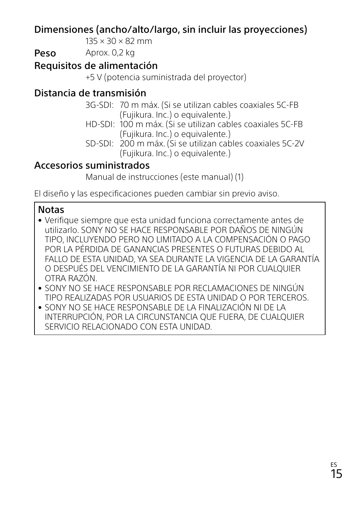### Dimensiones (ancho/alto/largo, sin incluir las proyecciones)

 $135 \times 30 \times 82$  mm

Peso Aprox. 0.2 kg

### Requisitos de alimentación

+5 V (potencia suministrada del proyector)

### Distancia de transmisión

3G-SDI: 70 m máx. (Si se utilizan cables coaxiales 5C-FB (Fujikura. Inc.) o equivalente.)

- HD-SDI: 100 m máx. (Si se utilizan cables coaxiales 5C-FB (Fujikura. Inc.) o equivalente.)
- SD-SDI: 200 m máx. (Si se utilizan cables coaxiales 5C-2V (Fujikura. Inc.) o equivalente.)

### Accesorios suministrados

Manual de instrucciones (este manual) (1)

El diseño y las especificaciones pueden cambiar sin previo aviso.

### Notas

- Verifique siempre que esta unidad funciona correctamente antes de utilizarlo. SONY NO SE HACE RESPONSABLE POR DAÑOS DE NINGÚN TIPO, INCLUYENDO PERO NO LIMITADO A LA COMPENSACIÓN O PAGO POR LA PÉRDIDA DE GANANCIAS PRESENTES O FUTURAS DEBIDO AL FALLO DE ESTA UNIDAD, YA SEA DURANTE LA VIGENCIA DE LA GARANTÍA O DESPUÉS DEL VENCIMIENTO DE LA GARANTÍA NI POR CUALQUIER OTRA RAZÓN.
- SONY NO SE HACE RESPONSABLE POR RECLAMACIONES DE NINGÚN TIPO REALIZADAS POR USUARIOS DE ESTA UNIDAD O POR TERCEROS.
- SONY NO SE HACE RESPONSABLE DE LA FINALIZACIÓN NI DE LA INTERRUPCIÓN, POR LA CIRCUNSTANCIA QUE FUERA, DE CUALQUIER SERVICIO RELACIONADO CON ESTA UNIDAD.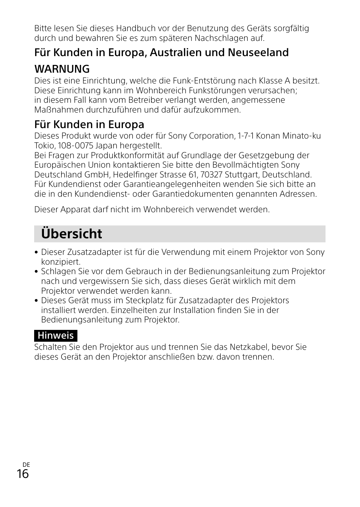Bitte lesen Sie dieses Handbuch vor der Benutzung des Geräts sorgfältig durch und bewahren Sie es zum späteren Nachschlagen auf.

# Für Kunden in Europa, Australien und Neuseeland

# WARNUNG

Dies ist eine Einrichtung, welche die Funk-Entstörung nach Klasse A besitzt. Diese Einrichtung kann im Wohnbereich Funkstörungen verursachen; in diesem Fall kann vom Betreiber verlangt werden, angemessene Maßnahmen durchzuführen und dafür aufzukommen.

# Für Kunden in Europa

Dieses Produkt wurde von oder für Sony Corporation, 1-7-1 Konan Minato-ku Tokio, 108-0075 Japan hergestellt.

Bei Fragen zur Produktkonformität auf Grundlage der Gesetzgebung der Europäischen Union kontaktieren Sie bitte den Bevollmächtigten Sony Deutschland GmbH, Hedelfinger Strasse 61, 70327 Stuttgart, Deutschland. Für Kundendienst oder Garantieangelegenheiten wenden Sie sich bitte an die in den Kundendienst- oder Garantiedokumenten genannten Adressen.

Dieser Apparat darf nicht im Wohnbereich verwendet werden.

# **Übersicht**

- Dieser Zusatzadapter ist für die Verwendung mit einem Projektor von Sony konzipiert.
- Schlagen Sie vor dem Gebrauch in der Bedienungsanleitung zum Projektor nach und vergewissern Sie sich, dass dieses Gerät wirklich mit dem Projektor verwendet werden kann.
- Dieses Gerät muss im Steckplatz für Zusatzadapter des Projektors installiert werden. Einzelheiten zur Installation finden Sie in der Bedienungsanleitung zum Projektor.

# **Hinweis**

Schalten Sie den Projektor aus und trennen Sie das Netzkabel, bevor Sie dieses Gerät an den Projektor anschließen bzw. davon trennen.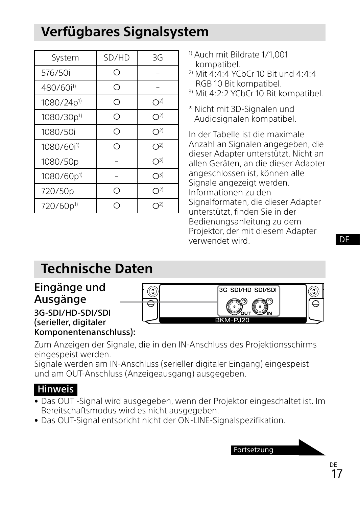# **Verfügbares Signalsystem**

| System                 | SD/HD | 3G                        |
|------------------------|-------|---------------------------|
| 576/50i                | ∩     |                           |
| 480/60i <sup>1)</sup>  | ∩     |                           |
| 1080/24p <sup>1)</sup> | ∩     | O <sup>2</sup>            |
| 1080/30p <sup>1)</sup> | ∩     | O <sup>2</sup>            |
| 1080/50i               | ∩     | O <sup>2</sup>            |
| 1080/60i <sup>1)</sup> | ∩     | $\bigcirc^{2)}$           |
| 1080/50p               |       | $\bigcirc$ 3)             |
| 1080/60p <sup>1)</sup> |       | $\bigcirc$ <sub>3</sub> ) |
| 720/50p                | ∩     | $\bigcap^{2}$             |
| 720/60p <sup>1)</sup>  |       | n2)                       |

- <sup>1)</sup> Auch mit Bildrate 1/1,001 kompatibel.
- 2) Mit 4:4:4 YCbCr 10 Bit und 4:4:4 RGB 10 Bit kompatibel.
- 3) Mit 4:2:2 YCbCr 10 Bit kompatibel.
- \* Nicht mit 3D-Signalen und Audiosignalen kompatibel.

In der Tabelle ist die maximale Anzahl an Signalen angegeben, die dieser Adapter unterstützt. Nicht an allen Geräten, an die dieser Adapter angeschlossen ist, können alle Signale angezeigt werden. Informationen zu den Signalformaten, die dieser Adapter unterstützt, finden Sie in der Bedienungsanleitung zu dem Projektor, der mit diesem Adapter verwendet wird.

# **Technische Daten**

# Eingänge und Ausgänge



3G-SDI/HD-SDI/SDI (serieller, digitaler Komponentenanschluss):

Zum Anzeigen der Signale, die in den IN-Anschluss des Projektionsschirms eingespeist werden.

Signale werden am IN-Anschluss (serieller digitaler Eingang) eingespeist und am OUT-Anschluss (Anzeigeausgang) ausgegeben.

#### Hinweis

- Das OUT -Signal wird ausgegeben, wenn der Projektor eingeschaltet ist. Im Bereitschaftsmodus wird es nicht ausgegeben.
- Das OUT-Signal entspricht nicht der ON-LINE-Signalspezifikation.

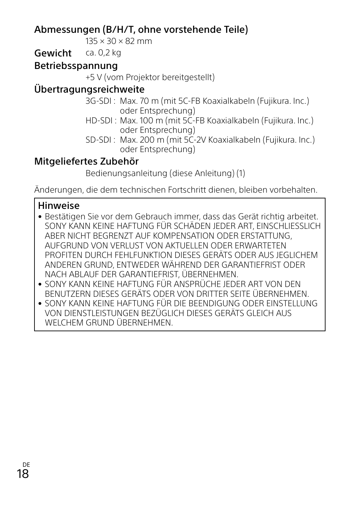### Abmessungen (B/H/T, ohne vorstehende Teile)

 $135 \times 30 \times 82$  mm

Gewicht ca. 0.2 kg

### Betriebsspannung

+5 V (vom Projektor bereitgestellt)

### Übertragungsreichweite

- 3G-SDI : Max. 70 m (mit 5C-FB Koaxialkabeln (Fujikura. Inc.) oder Entsprechung)
- HD-SDI : Max. 100 m (mit 5C-FB Koaxialkabeln (Fujikura. Inc.) oder Entsprechung)
- SD-SDI : Max. 200 m (mit 5C-2V Koaxialkabeln (Fujikura. Inc.) oder Entsprechung)

### Mitgeliefertes Zubehör

Bedienungsanleitung (diese Anleitung) (1)

Änderungen, die dem technischen Fortschritt dienen, bleiben vorbehalten.

#### Hinweise

- Bestätigen Sie vor dem Gebrauch immer, dass das Gerät richtig arbeitet. SONY KANN KEINE HAFTUNG FÜR SCHÄDEN JEDER ART, EINSCHLIESSLICH ABER NICHT BEGRENZT AUF KOMPENSATION ODER ERSTATTUNG, AUFGRUND VON VERLUST VON AKTUELLEN ODER ERWARTETEN PROFITEN DURCH FEHLFUNKTION DIESES GERÄTS ODER AUS JEGLICHEM ANDEREN GRUND, ENTWEDER WÄHREND DER GARANTIEFRIST ODER NACH ABLAUF DER GARANTIEFRIST, ÜBERNEHMEN.
- SONY KANN KEINE HAFTUNG FÜR ANSPRÜCHE JEDER ART VON DEN BENUTZERN DIESES GERÄTS ODER VON DRITTER SEITE ÜBERNEHMEN.
- SONY KANN KEINE HAFTUNG FÜR DIE BEENDIGUNG ODER EINSTELLUNG VON DIENSTLEISTUNGEN BEZÜGLICH DIESES GERÄTS GLEICH AUS WELCHEM GRUND ÜBERNEHMEN.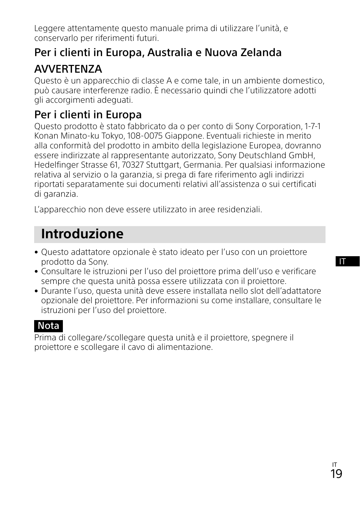Leggere attentamente questo manuale prima di utilizzare l'unità, e conservarlo per riferimenti futuri.

### Per i clienti in Europa, Australia e Nuova Zelanda **AVVERTENZA**

Questo è un apparecchio di classe A e come tale, in un ambiente domestico, può causare interferenze radio. È necessario quindi che l'utilizzatore adotti gli accorgimenti adeguati.

### Per i clienti in Europa

Questo prodotto è stato fabbricato da o per conto di Sony Corporation, 1-7-1 Konan Minato-ku Tokyo, 108-0075 Giappone. Eventuali richieste in merito alla conformità del prodotto in ambito della legislazione Europea, dovranno essere indirizzate al rappresentante autorizzato, Sony Deutschland GmbH, Hedelfinger Strasse 61, 70327 Stuttgart, Germania. Per qualsiasi informazione relativa al servizio o la garanzia, si prega di fare riferimento agli indirizzi riportati separatamente sui documenti relativi all'assistenza o sui certificati di garanzia.

L'apparecchio non deve essere utilizzato in aree residenziali.

# **Introduzione**

- Questo adattatore opzionale è stato ideato per l'uso con un proiettore prodotto da Sony.
- Consultare le istruzioni per l'uso del proiettore prima dell'uso e verificare sempre che questa unità possa essere utilizzata con il proiettore.
- Durante l'uso, questa unità deve essere installata nello slot dell'adattatore opzionale del proiettore. Per informazioni su come installare, consultare le istruzioni per l'uso del proiettore.

### Nota

Prima di collegare/scollegare questa unità e il proiettore, spegnere il proiettore e scollegare il cavo di alimentazione.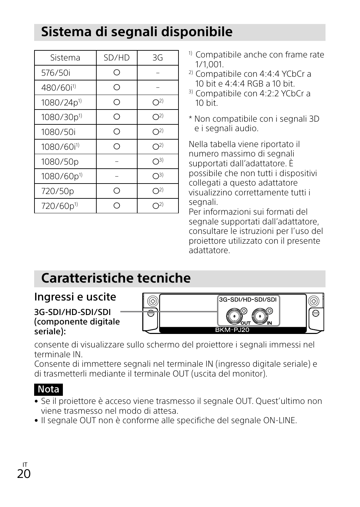# **Sistema di segnali disponibile**

| Sistema                | SD/HD | 3G                        |
|------------------------|-------|---------------------------|
| 576/50i                | ∩     |                           |
| 480/60i <sup>1)</sup>  | Ο     |                           |
| 1080/24p <sup>1)</sup> | Ο     | O <sup>2</sup>            |
| 1080/30p <sup>1)</sup> | ∩     | O <sup>2</sup>            |
| 1080/50i               | ∩     | O <sup>2</sup>            |
| 1080/60i <sup>1)</sup> | ∩     | $\bigcirc^{2)}$           |
| 1080/50p               |       | $\bigcirc$ 3)             |
| 1080/60p <sup>1)</sup> |       | $\bigcirc$ <sub>3</sub> ) |
| 720/50p                | ∩     | $\bigcap^{2}$             |
| 720/60p <sup>1)</sup>  |       | ာ2)                       |

- <sup>1)</sup> Compatibile anche con frame rate 1/1,001.
- 2) Compatibile con 4:4:4 YCbCr a 10 bit e 4:4:4 RGB a 10 bit.
- 3) Compatibile con 4:2:2 YCbCr a  $10$  hit.
- \* Non compatibile con i segnali 3D e i segnali audio.

Nella tabella viene riportato il numero massimo di segnali supportati dall'adattatore. È possibile che non tutti i dispositivi collegati a questo adattatore visualizzino correttamente tutti i segnali.

Per informazioni sui formati del segnale supportati dall'adattatore, consultare le istruzioni per l'uso del proiettore utilizzato con il presente adattatore.

# **Caratteristiche tecniche**

# Ingressi e uscite

3G-SDI/HD-SDI/SDI (componente digitale seriale):



consente di visualizzare sullo schermo del proiettore i segnali immessi nel terminale IN.

Consente di immettere segnali nel terminale IN (ingresso digitale seriale) e di trasmetterli mediante il terminale OUT (uscita del monitor).

# Nota

- Se il proiettore è acceso viene trasmesso il segnale OUT. Quest'ultimo non viene trasmesso nel modo di attesa.
- Il segnale OUT non è conforme alle specifiche del segnale ON-LINE.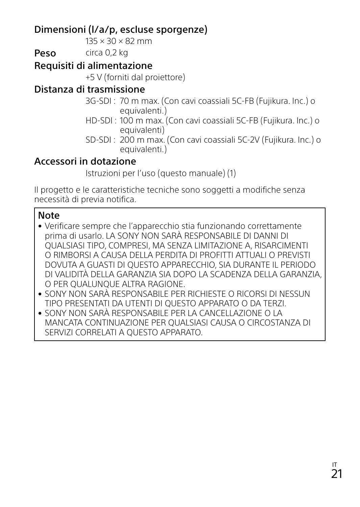### Dimensioni (l/a/p, escluse sporgenze)

 $135 \times 30 \times 82$  mm

Peso circa 0,2 kg

#### Requisiti di alimentazione

+5 V (forniti dal proiettore)

### Distanza di trasmissione

- 3G-SDI : 70 m max. (Con cavi coassiali 5C-FB (Fujikura. Inc.) o equivalenti.)
- HD-SDI : 100 m max. (Con cavi coassiali 5C-FB (Fujikura. Inc.) o equivalenti)
- SD-SDI : 200 m max. (Con cavi coassiali 5C-2V (Fujikura. Inc.) o equivalenti.)

#### Accessori in dotazione

Istruzioni per l'uso (questo manuale) (1)

Il progetto e le caratteristiche tecniche sono soggetti a modifiche senza necessità di previa notifica.

#### Note

- Verificare sempre che l'apparecchio stia funzionando correttamente prima di usarlo. LA SONY NON SARÀ RESPONSABILE DI DANNI DI QUALSIASI TIPO, COMPRESI, MA SENZA LIMITAZIONE A, RISARCIMENTI O RIMBORSI A CAUSA DELLA PERDITA DI PROFITTI ATTUALI O PREVISTI DOVUTA A GUASTI DI QUESTO APPARECCHIO, SIA DURANTE IL PERIODO DI VALIDITÀ DELLA GARANZIA SIA DOPO LA SCADENZA DELLA GARANZIA, O PER QUALUNQUE ALTRA RAGIONE.
- SONY NON SARÀ RESPONSABILE PER RICHIESTE O RICORSI DI NESSUN TIPO PRESENTATI DA UTENTI DI QUESTO APPARATO O DA TERZI.
- SONY NON SARÀ RESPONSABILE PER LA CANCELLAZIONE O LA MANCATA CONTINUAZIONE PER QUALSIASI CAUSA O CIRCOSTANZA DI SERVIZI CORRELATI A QUESTO APPARATO.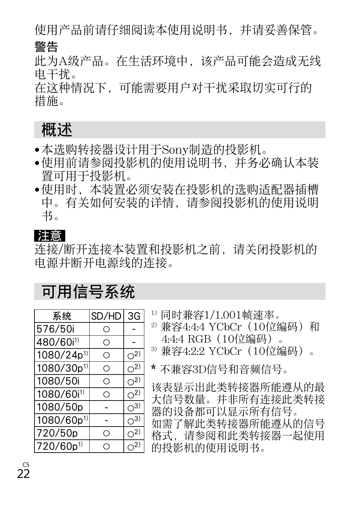使用产品前请仔细阅读本使用说明书,并请妥善保管。

#### 警告

此为A级产品。在生活环境中,该产品可能会造成无线 电干扰。

在这种情况下,可能需要用户对干扰采取切实可行的 措施。

# 概述

- •本选购转接器设计用于Sonv制造的投影机。
- ●使用前请参阅投影机的使用说明书,并务必确认本装 置可⽤于投影机。
- •使用时,本装置必须安装在投影机的选购适配器插槽 中。有关如何安装的详情,请参阅投影机的使用说明 书。

### 注意

连接/断开连接本装置和投影机之前,请关闭投影机的 电源并断开电源线的连接。

# 可用信号系统

| 系统                     | SD/HD   | 3G                                     | 1) 同时兼容1/1.001帧速率。                    |
|------------------------|---------|----------------------------------------|---------------------------------------|
| 576/50i                | O       |                                        | <sup>2)</sup> 兼容4:4:4 YCbCr (10位编码) 和 |
| 480/60i <sup>1)</sup>  | $\circ$ |                                        | 4:4:4 RGB (10位编码)                     |
| 1080/24p <sup>1)</sup> | $\circ$ | $\bigcirc^2$                           | 3) 兼容4:2:2 YCbCr (10位编码) 。            |
| 1080/30p <sup>1)</sup> | $\circ$ | $\cdot$ $\circ$ <sup>2</sup> ) $\cdot$ | * 不兼容3D信号和音频信号。                       |
| 1080/50i               | O       | $\sqrt{2^2}$ .                         | 该表显示出此类转接器所能遵从的最                      |
| 1080/60i <sup>1)</sup> | O       | $\bigcirc^{2}$                         | 大信号数量。并非所有连接此类转接                      |
| 1080/50p               |         | $O^{3}$                                | 器的设备都可以显示所有信号。                        |
| 1080/60p <sup>1)</sup> |         | $\sqrt{3}$                             | 如需了解此类转接器所能遵从的信号                      |
| 720/50p                | О       | $O^{2}$                                | 格式,请参阅和此类转接器一起使用                      |
| 720/60p <sup>1)</sup>  | O       | $O^{2)}$                               | 的投影机的使用说明书。                           |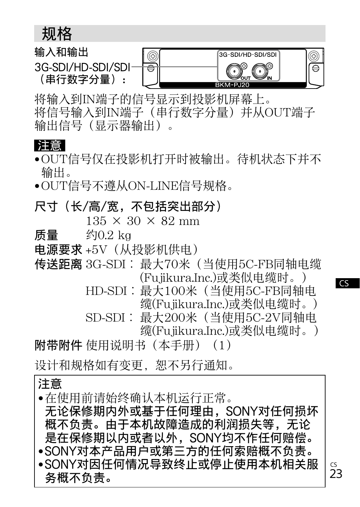规格

输入和输出

3G-SDI/HD-SDI/SDI (串行数字分量):



将输入到IN端子的信号显示到投影机屏幕上。 将信号输入到IN端子(串行数字分量)并从OUT端子 输出信号(显示器输出)。

# 注意

- •OUT信号仅在投影机打开时被输出。待机状态下并不 输出。
- •OUT信号不遵从ON-LINE信号规格。

尺寸 (长/高/宽,不包括突出部分)

 $135 \times 30 \times 82$  mm

质量 约0.2 kg

电源要求 +5V (从投影机供电)

传送距离 3G-SDI︰ 最大70米(当使用5C-FB同轴电缆 (Fujikura.Inc.)或类似电缆时。)

> HD-SDI︰最大100米(当使用5C-FB同轴电 缆(Fujikura.Inc.)或类似电缆时。)

> SD-SDI︰ 最大200米(当使用5C-2V同轴电

缆(Fujikura.Inc.)或类似电缆时。)

附带附件 使用说明书(本手册)(1)

设计和规格如有变更,恕不另行通知。

注意 •在使用前请始终确认本机运行正常。 无论保修期内外或基于任何理由,SONY对任何损坏 概不负责。由于本机故障造成的利润损失等,无论 是在保修期以内或者以外,SONY均不作任何赔偿。 •SONY对本产品用户或第三方的任何索赔概不负责。 •SONY对因任何情况导致终止或停止使用本机相关服 务概不负责。

 $\frac{cS}{23}$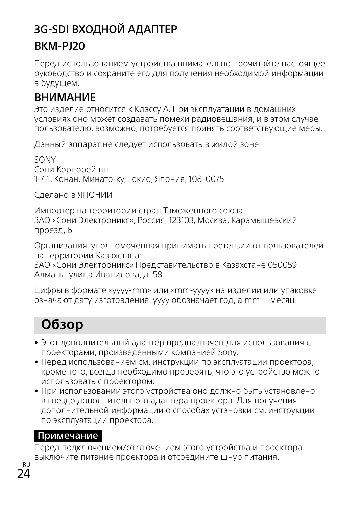# 3G-SDI ВХОДНОЙ АДАПТЕР BKM-PJ20

Перед использованием устройства внимательно прочитайте настоящее руководство и сохраните его для получения необходимой информации в будущем.

# ВНИМАНИЕ

Это изделие относится к Классу A. При эксплуатации в домашних условиях оно может создавать помехи радиовещания, и в этом случае пользователю, возможно, потребуется принять соответствующие меры.

Данный аппарат не следует использовать в жилой зоне.

SONY Сони Корпорейшн 1-7-1, Конан, Минато-ку, Токио, Япония, 108-0075

Сделано в ЯПОНИИ

Импортер на территории стран Таможенного союза ЗАО «Сони Электроникс», Россия, 123103, Москва, Карамышевский проезд, 6

Организация, уполномоченная принимать претензии от пользователей на территории Казахстана:

ЗАО «Сони Электроникс» Представительство в Казахстане 050059 Алматы, улица Иванилова, д. 58

Цифры в формате «yyyy-mm» или «mm-yyyy» на изделии или упаковке означают дату изготовления. yyyy обозначает год, а mm ― месяц.

# **Обзор**

- Этот дополнительный адаптер предназначен для использования с проекторами, произведенными компанией Sony.
- Перед использованием см. инструкции по эксплуатации проектора, кроме того, всегда необходимо проверять, что это устройство можно использовать с проектором.
- При использовании этого устройства оно должно быть установлено в гнездо дополнительного адаптера проектора. Для получения дополнительной информации о способах установки см. инструкции по эксплуатации проектора.

#### Примечание

Перед подключением/отключением этого устройства и проектора выключите питание проектора и отсоедините шнур питания.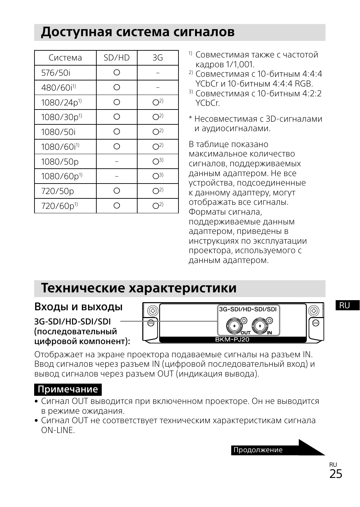# **Доступная система сигналов**

| Система                | SD/HD | 3G                        |
|------------------------|-------|---------------------------|
| 576/50i                | ∩     |                           |
| 480/60i <sup>1)</sup>  | ∩     |                           |
| 1080/24p <sup>1)</sup> | ∩     | $\bigcirc^{2)}$           |
| 1080/30p <sup>1)</sup> | Ω     | $\bigcirc^{2)}$           |
| 1080/50i               | ∩     | O <sup>2</sup>            |
| 1080/60i <sup>1)</sup> | ∩     | $\bigcirc^{2)}$           |
| 1080/50p               |       | ∩3)                       |
| 1080/60p <sup>1)</sup> |       | $\bigcirc$ <sub>3</sub> ) |
| 720/50p                | ∩     | $\bigcap^{2)}$            |
| 720/60p <sup>1)</sup>  |       |                           |

- 1) Совместимая также с частотой кадров 1/1,001.
- 2) Совместимая с 10-битным 4:4:4 YCbCr и 10-битным 4:4:4 RGB.
- $3)$  Совместимая с 10-битным  $4:2:2$ YCbCr.
- \* Несовместимая с 3D-сигналами и аудиосигналами.

В таблице показано максимальное количество сигналов, поддерживаемых данным адаптером. Не все устройства, подсоединенные к данному адаптеру, могут отображать все сигналы. Форматы сигнала, поддерживаемые данным адаптером, приведены в инструкциях по эксплуатации проектора, используемого с данным адаптером.

# **Технические характеристики**

Входы и выходы

3G-SDI/HD-SDI/SDI (последовательный цифровой компонент):

3G-SDI/HD-SDI/SDI ⊚ ۷

Отображает на экране проектора подаваемые сигналы на разъем IN. Ввод сигналов через разъем IN (цифровой последовательный вход) и вывод сигналов через разъем OUT (индикация вывода).

#### Примечание

- Сигнал OUT выводится при включенном проекторе. Он не выводится в режиме ожидания.
- Сигнал OUT не соответствует техническим характеристикам сигнала ON-LINE.

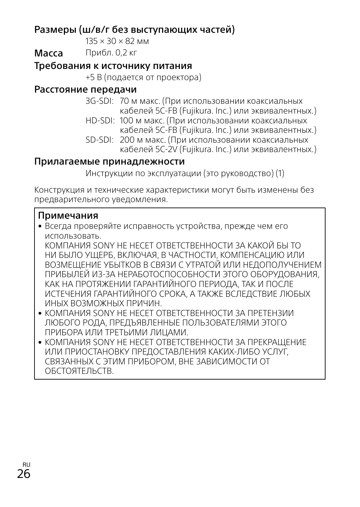#### Размеры (ш/в/г без выступающих частей)

135 × 30 × 82 мм

Масса Прибл. 0,2 кг

#### Требования к источнику питания

+5 В (подается от проектора)

#### Расстояние передачи

- 3G-SDI: 70 м макс. (При использовании коаксиальных кабелей 5C-FB (Fujikura. Inc.) или эквивалентных.)
- HD-SDI: 100 м макс. (При использовании коаксиальных кабелей 5C-FB (Fujikura. Inc.) или эквивалентных.)
- SD-SDI: 200 м макс. (При использовании коаксиальных кабелей 5C-2V (Fujikura. Inc.) или эквивалентных.)

#### Прилагаемые принадлежности

Инструкции по эксплуатации (это руководство) (1)

Конструкция и технические характеристики могут быть изменены без предварительного уведомления.

#### Примечания

• Всегда проверяйте исправность устройства, прежде чем его использовать.

КОМПАНИЯ SONY НЕ НЕСЕТ ОТВЕТСТВЕННОСТИ ЗА КАКОЙ БЫ ТО НИ БЫЛО УШЕРБ, ВКЛЮЧАЯ, В ЧАСТНОСТИ, КОМПЕНСАЦИЮ ИЛИ ВОЗМЕЩЕНИЕ УБЫТКОВ В СВЯЗИ С УТРАТОЙ ИЛИ НЕДОПОЛУЧЕНИЕМ ПРИБЫЛЕЙ ИЗ-ЗА НЕРАБОТОСПОСОБНОСТИ ЭТОГО ОБОРУДОВАНИЯ, КАК НА ПРОТЯЖЕНИИ ГАРАНТИЙНОГО ПЕРИОДА, ТАК И ПОСЛЕ ИСТЕЧЕНИЯ ГАРАНТИЙНОГО СРОКА, А ТАКЖЕ ВСЛЕДСТВИЕ ЛЮБЫХ ИНЫХ ВОЗМОЖНЫХ ПРИЧИН.

- КОМПАНИЯ SONY НЕ НЕСЕТ ОТВЕТСТВЕННОСТИ ЗА ПРЕТЕНЗИИ ЛЮБОГО РОДА, ПРЕДЪЯВЛЕННЫЕ ПОЛЬЗОВАТЕЛЯМИ ЭТОГО ПРИБОРА ИЛИ ТРЕТЬИМИ ЛИЦАМИ.
- КОМПАНИЯ SONY НЕ НЕСЕТ ОТВЕТСТВЕННОСТИ ЗА ПРЕКРАШЕНИЕ ИЛИ ПРИОСТАНОВКУ ПРЕДОСТАВЛЕНИЯ КАКИХ-ЛИБО УСЛУГ, СВЯЗАННЫХ С ЭТИМ ПРИБОРОМ, ВНЕ ЗАВИСИМОСТИ ОТ ОБСТОЯТЕЛЬСТВ.